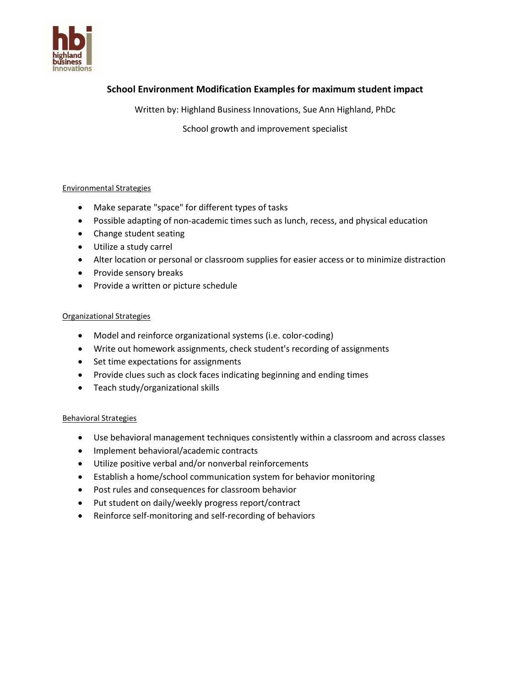

# School Environment Modification Examples for maximum student impact

Written by: Highland Business Innovations, Sue Ann Highland, PhDc

School growth and improvement specialist

## Environmental Strategies

- Make separate "space" for different types of tasks
- Possible adapting of non-academic times such as lunch, recess, and physical education
- Change student seating
- Utilize a study carrel
- Alter location or personal or classroom supplies for easier access or to minimize distraction
- Provide sensory breaks
- Provide a written or picture schedule

## Organizational Strategies

- Model and reinforce organizational systems (i.e. color-coding)
- Write out homework assignments, check student's recording of assignments
- Set time expectations for assignments
- Provide clues such as clock faces indicating beginning and ending times
- Teach study/organizational skills

#### Behavioral Strategies

- Use behavioral management techniques consistently within a classroom and across classes
- Implement behavioral/academic contracts
- Utilize positive verbal and/or nonverbal reinforcements
- Establish a home/school communication system for behavior monitoring
- Post rules and consequences for classroom behavior
- Put student on daily/weekly progress report/contract
- Reinforce self-monitoring and self-recording of behaviors